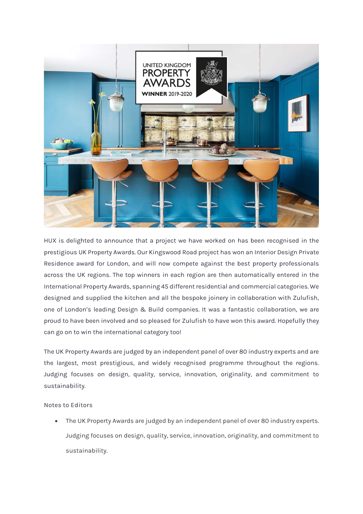

HUX is delighted to announce that a project we have worked on has been recognised in the prestigious UK Property Awards. Our Kingswood Road project has won an Interior Design Private Residence award for London, and will now compete against the best property professionals across the UK regions. The top winners in each region are then automatically entered in the International Property Awards, spanning 45 different residential and commercial categories. We designed and supplied the kitchen and all the bespoke joinery in collaboration with Zulufish, one of London's leading Design & Build companies. It was a fantastic collaboration, we are proud to have been involved and so pleased for Zulufish to have won this award. Hopefully they can go on to win the international category too!

The UK Property Awards are judged by an independent panel of over 80 industry experts and are the largest, most prestigious, and widely recognised programme throughout the regions. Judging focuses on design, quality, service, innovation, originality, and commitment to sustainability.

## **Notes to Editors**

• The UK Property Awards are judged by an independent panel of over 80 industry experts. Judging focuses on design, quality, service, innovation, originality, and commitment to sustainability.